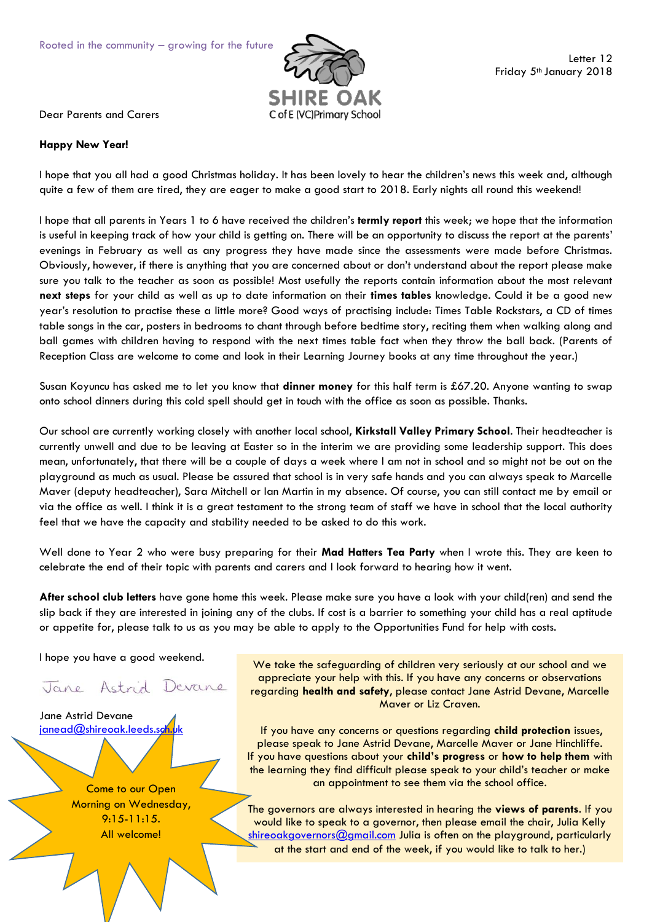

Dear Parents and Carers

## **Happy New Year!**

I hope that you all had a good Christmas holiday. It has been lovely to hear the children's news this week and, although quite a few of them are tired, they are eager to make a good start to 2018. Early nights all round this weekend!

I hope that all parents in Years 1 to 6 have received the children's **termly report** this week; we hope that the information is useful in keeping track of how your child is getting on. There will be an opportunity to discuss the report at the parents' evenings in February as well as any progress they have made since the assessments were made before Christmas. Obviously, however, if there is anything that you are concerned about or don't understand about the report please make sure you talk to the teacher as soon as possible! Most usefully the reports contain information about the most relevant **next steps** for your child as well as up to date information on their **times tables** knowledge. Could it be a good new year's resolution to practise these a little more? Good ways of practising include: Times Table Rockstars, a CD of times table songs in the car, posters in bedrooms to chant through before bedtime story, reciting them when walking along and ball games with children having to respond with the next times table fact when they throw the ball back. (Parents of Reception Class are welcome to come and look in their Learning Journey books at any time throughout the year.)

Susan Koyuncu has asked me to let you know that **dinner money** for this half term is £67.20. Anyone wanting to swap onto school dinners during this cold spell should get in touch with the office as soon as possible. Thanks.

Our school are currently working closely with another local school, **Kirkstall Valley Primary School**. Their headteacher is currently unwell and due to be leaving at Easter so in the interim we are providing some leadership support. This does mean, unfortunately, that there will be a couple of days a week where I am not in school and so might not be out on the playground as much as usual. Please be assured that school is in very safe hands and you can always speak to Marcelle Maver (deputy headteacher), Sara Mitchell or Ian Martin in my absence. Of course, you can still contact me by email or via the office as well. I think it is a great testament to the strong team of staff we have in school that the local authority feel that we have the capacity and stability needed to be asked to do this work.

Well done to Year 2 who were busy preparing for their **Mad Hatters Tea Party** when I wrote this. They are keen to celebrate the end of their topic with parents and carers and I look forward to hearing how it went.

**After school club letters** have gone home this week. Please make sure you have a look with your child(ren) and send the slip back if they are interested in joining any of the clubs. If cost is a barrier to something your child has a real aptitude or appetite for, please talk to us as you may be able to apply to the Opportunities Fund for help with costs.

I hope you have a good weekend.

Jane Astrid Devane

Jane Astrid Devane janead@shireoak.leeds.sq

> Come to our Open Morning on Wednesday, 9:15-11:15. All welcome!

We take the safeguarding of children very seriously at our school and we appreciate your help with this. If you have any concerns or observations regarding **health and safety**, please contact Jane Astrid Devane, Marcelle Maver or Liz Craven.

If you have any concerns or questions regarding **child protection** issues, please speak to Jane Astrid Devane, Marcelle Maver or Jane Hinchliffe. If you have questions about your **child's progress** or **how to help them** with the learning they find difficult please speak to your child's teacher or make an appointment to see them via the school office.

The governors are always interested in hearing the **views of parents**. If you would like to speak to a governor, then please email the chair, Julia Kelly  $\sin$ reoakgovernors $@$ gmail.com Julia is often on the playground, particularly at the start and end of the week, if you would like to talk to her.)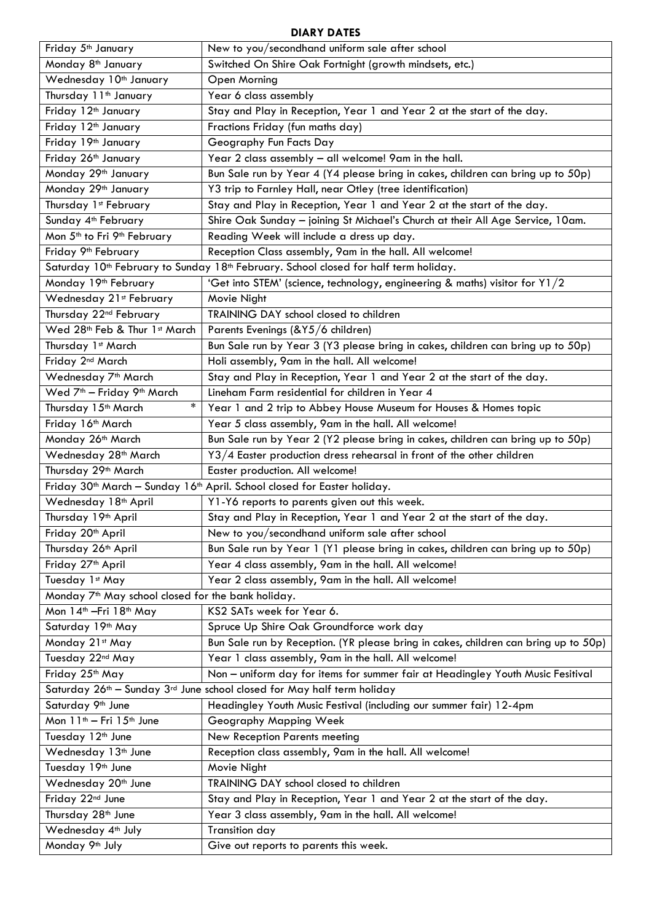## **DIARY DATES**

| Friday 5 <sup>th</sup> January                                                                               | New to you/secondhand uniform sale after school                                     |  |  |  |  |
|--------------------------------------------------------------------------------------------------------------|-------------------------------------------------------------------------------------|--|--|--|--|
| Monday 8 <sup>th</sup> January                                                                               | Switched On Shire Oak Fortnight (growth mindsets, etc.)                             |  |  |  |  |
| Wednesday 10 <sup>th</sup> January                                                                           | Open Morning                                                                        |  |  |  |  |
| Thursday 11 <sup>th</sup> January                                                                            | Year 6 class assembly                                                               |  |  |  |  |
| Friday 12 <sup>th</sup> January                                                                              | Stay and Play in Reception, Year 1 and Year 2 at the start of the day.              |  |  |  |  |
| Friday 12 <sup>th</sup> January                                                                              | Fractions Friday (fun maths day)                                                    |  |  |  |  |
| Friday 19th January                                                                                          | Geography Fun Facts Day                                                             |  |  |  |  |
| Friday 26 <sup>th</sup> January                                                                              | Year 2 class assembly - all welcome! 9am in the hall.                               |  |  |  |  |
| Monday 29th January                                                                                          | Bun Sale run by Year 4 (Y4 please bring in cakes, children can bring up to 50p)     |  |  |  |  |
| Monday 29 <sup>th</sup> January                                                                              | Y3 trip to Farnley Hall, near Otley (tree identification)                           |  |  |  |  |
| Thursday 1st February                                                                                        | Stay and Play in Reception, Year 1 and Year 2 at the start of the day.              |  |  |  |  |
| Sunday 4 <sup>th</sup> February                                                                              | Shire Oak Sunday - joining St Michael's Church at their All Age Service, 10am.      |  |  |  |  |
| Mon 5 <sup>th</sup> to Fri 9 <sup>th</sup> February                                                          | Reading Week will include a dress up day.                                           |  |  |  |  |
| Friday 9 <sup>th</sup> February                                                                              | Reception Class assembly, 9am in the hall. All welcome!                             |  |  |  |  |
| Saturday 10 <sup>th</sup> February to Sunday 18 <sup>th</sup> February. School closed for half term holiday. |                                                                                     |  |  |  |  |
| Monday 19 <sup>th</sup> February                                                                             | 'Get into STEM' (science, technology, engineering & maths) visitor for Y1/2         |  |  |  |  |
| Wednesday 21st February                                                                                      | Movie Night                                                                         |  |  |  |  |
| Thursday 22 <sup>nd</sup> February                                                                           | TRAINING DAY school closed to children                                              |  |  |  |  |
| Wed 28th Feb & Thur 1st March                                                                                | Parents Evenings (&Y5/6 children)                                                   |  |  |  |  |
| Thursday 1st March                                                                                           | Bun Sale run by Year 3 (Y3 please bring in cakes, children can bring up to 50p)     |  |  |  |  |
| Friday 2 <sup>nd</sup> March                                                                                 | Holi assembly, 9am in the hall. All welcome!                                        |  |  |  |  |
| Wednesday 7 <sup>th</sup> March                                                                              | Stay and Play in Reception, Year 1 and Year 2 at the start of the day.              |  |  |  |  |
| Wed 7 <sup>th</sup> - Friday 9 <sup>th</sup> March                                                           | Lineham Farm residential for children in Year 4                                     |  |  |  |  |
| $\ast$<br>Thursday 15 <sup>th</sup> March                                                                    | Year 1 and 2 trip to Abbey House Museum for Houses & Homes topic                    |  |  |  |  |
| Friday 16th March                                                                                            | Year 5 class assembly, 9am in the hall. All welcome!                                |  |  |  |  |
| Monday 26 <sup>th</sup> March                                                                                | Bun Sale run by Year 2 (Y2 please bring in cakes, children can bring up to 50p)     |  |  |  |  |
| Wednesday 28 <sup>th</sup> March                                                                             | Y3/4 Easter production dress rehearsal in front of the other children               |  |  |  |  |
| Thursday 29th March                                                                                          | Easter production. All welcome!                                                     |  |  |  |  |
| Friday 30 <sup>th</sup> March - Sunday 16 <sup>th</sup> April. School closed for Easter holiday.             |                                                                                     |  |  |  |  |
| Wednesday 18 <sup>th</sup> April                                                                             | Y1-Y6 reports to parents given out this week.                                       |  |  |  |  |
| Thursday 19th April                                                                                          | Stay and Play in Reception, Year 1 and Year 2 at the start of the day.              |  |  |  |  |
| Friday 20 <sup>th</sup> April                                                                                | New to you/secondhand uniform sale after school                                     |  |  |  |  |
| Thursday 26 <sup>th</sup> April                                                                              | Bun Sale run by Year 1 (Y1 please bring in cakes, children can bring up to 50p)     |  |  |  |  |
| Friday 27 <sup>th</sup> April                                                                                | Year 4 class assembly, 9am in the hall. All welcome!                                |  |  |  |  |
| Tuesday 1st May                                                                                              | Year 2 class assembly, 9am in the hall. All welcome!                                |  |  |  |  |
| Monday 7 <sup>th</sup> May school closed for the bank holiday.                                               |                                                                                     |  |  |  |  |
| Mon 14 <sup>th</sup> - Fri 18 <sup>th</sup> May                                                              | KS2 SATs week for Year 6.                                                           |  |  |  |  |
| Saturday 19th May                                                                                            | Spruce Up Shire Oak Groundforce work day                                            |  |  |  |  |
| Monday 21st May                                                                                              | Bun Sale run by Reception. (YR please bring in cakes, children can bring up to 50p) |  |  |  |  |
| Tuesday 22nd May                                                                                             | Year 1 class assembly, 9am in the hall. All welcome!                                |  |  |  |  |
| Friday 25th May                                                                                              | Non - uniform day for items for summer fair at Headingley Youth Music Fesitival     |  |  |  |  |
| Saturday 26 <sup>th</sup> – Sunday 3 <sup>rd</sup> June school closed for May half term holiday              |                                                                                     |  |  |  |  |
| Saturday 9th June                                                                                            | Headingley Youth Music Festival (including our summer fair) 12-4pm                  |  |  |  |  |
| Mon 11 <sup>th</sup> - Fri 15 <sup>th</sup> June                                                             | Geography Mapping Week                                                              |  |  |  |  |
| Tuesday 12 <sup>th</sup> June                                                                                | <b>New Reception Parents meeting</b>                                                |  |  |  |  |
| Wednesday 13 <sup>th</sup> June                                                                              | Reception class assembly, 9am in the hall. All welcome!                             |  |  |  |  |
| Tuesday 19th June                                                                                            | Movie Night                                                                         |  |  |  |  |
| Wednesday 20 <sup>th</sup> June                                                                              | TRAINING DAY school closed to children                                              |  |  |  |  |
| Friday 22nd June                                                                                             | Stay and Play in Reception, Year 1 and Year 2 at the start of the day.              |  |  |  |  |
| Thursday 28 <sup>th</sup> June                                                                               | Year 3 class assembly, 9am in the hall. All welcome!                                |  |  |  |  |
| Wednesday 4th July                                                                                           | <b>Transition day</b>                                                               |  |  |  |  |
| Monday 9 <sup>th</sup> July                                                                                  | Give out reports to parents this week.                                              |  |  |  |  |